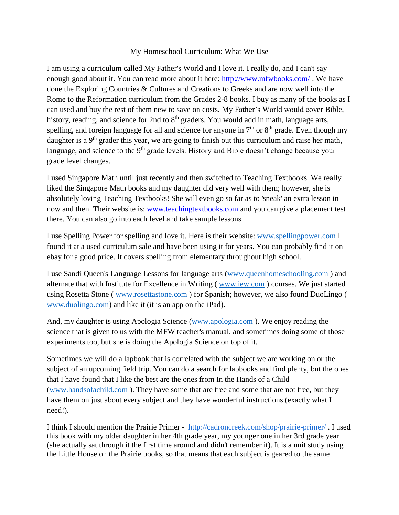## My Homeschool Curriculum: What We Use

I am using a curriculum called My Father's World and I love it. I really do, and I can't say enough good about it. You can read more about it here: <http://www.mfwbooks.com/>. We have done the Exploring Countries & Cultures and Creations to Greeks and are now well into the Rome to the Reformation curriculum from the Grades 2-8 books. I buy as many of the books as I can used and buy the rest of them new to save on costs. My Father's World would cover Bible, history, reading, and science for 2nd to 8<sup>th</sup> graders. You would add in math, language arts, spelling, and foreign language for all and science for anyone in  $7<sup>th</sup>$  or  $8<sup>th</sup>$  grade. Even though my daughter is a  $9<sup>th</sup>$  grader this year, we are going to finish out this curriculum and raise her math, language, and science to the 9<sup>th</sup> grade levels. History and Bible doesn't change because your grade level changes.

I used Singapore Math until just recently and then switched to Teaching Textbooks. We really liked the Singapore Math books and my daughter did very well with them; however, she is absolutely loving Teaching Textbooks! She will even go so far as to 'sneak' an extra lesson in now and then. Their website is: [www.teachingtextbooks.com](http://www.teachingtextbooks.com/) and you can give a placement test there. You can also go into each level and take sample lessons.

I use Spelling Power for spelling and love it. Here is their website: [www.spellingpower.com](http://www.spellingpower.com/) I found it at a used curriculum sale and have been using it for years. You can probably find it on ebay for a good price. It covers spelling from elementary throughout high school.

I use Sandi Queen's Language Lessons for language arts [\(www.queenhomeschooling.com](http://www.queenhomeschooling.com/) ) and alternate that with Institute for Excellence in Writing ( [www.iew.com](http://www.iew.com/) ) courses. We just started using Rosetta Stone ( [www.rosettastone.com](http://www.rosettastone.com/) ) for Spanish; however, we also found DuoLingo ( [www.duolingo.com\)](http://www.duolingo.com/) and like it (it is an app on the iPad).

And, my daughter is using Apologia Science [\(www.apologia.com](http://www.apologia.com/) ). We enjoy reading the science that is given to us with the MFW teacher's manual, and sometimes doing some of those experiments too, but she is doing the Apologia Science on top of it.

Sometimes we will do a lapbook that is correlated with the subject we are working on or the subject of an upcoming field trip. You can do a search for lapbooks and find plenty, but the ones that I have found that I like the best are the ones from In the Hands of a Child [\(www.handsofachild.com](http://www.handsofachild.com/) ). They have some that are free and some that are not free, but they have them on just about every subject and they have wonderful instructions (exactly what I need!).

I think I should mention the Prairie Primer - <http://cadroncreek.com/shop/prairie-primer/> . I used this book with my older daughter in her 4th grade year, my younger one in her 3rd grade year (she actually sat through it the first time around and didn't remember it). It is a unit study using the Little House on the Prairie books, so that means that each subject is geared to the same